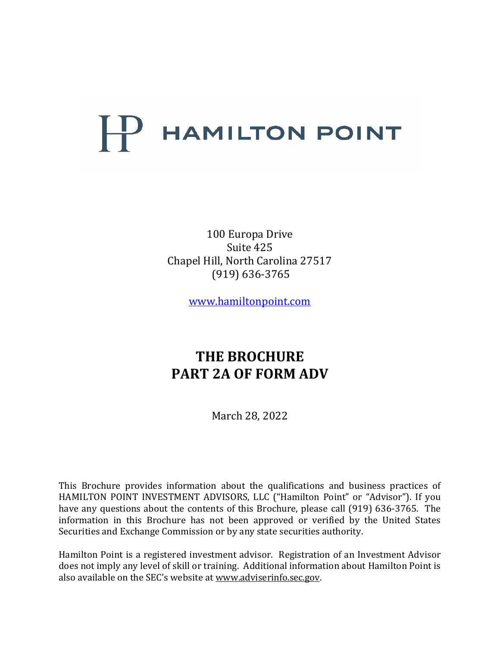# $\mathbf{P}$  HAMILTON POINT

100 Europa Drive Suite 425 Chapel Hill, North Carolina 27517 (919) 636-3765

[www.hamiltonpoint.com](http://www.hamiltonpoint.com/)

## **THE BROCHURE PART 2A OF FORM ADV**

March 28, 2022

This Brochure provides information about the qualifications and business practices of HAMILTON POINT INVESTMENT ADVISORS, LLC ("Hamilton Point" or "Advisor"). If you have any questions about the contents of this Brochure, please call (919) 636-3765. The information in this Brochure has not been approved or verified by the United States Securities and Exchange Commission or by any state securities authority.

Hamilton Point is a registered investment advisor. Registration of an Investment Advisor does not imply any level of skill or training. Additional information about Hamilton Point is also available on the SEC's website at [www.adviserinfo.sec.gov.](http://www.adviserinfo.sec.gov/)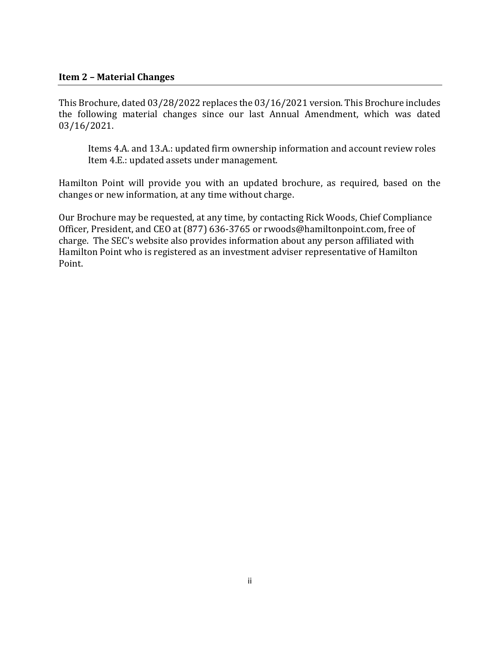#### <span id="page-1-0"></span>**Item 2 – Material Changes**

This Brochure, dated 03/28/2022 replaces the 03/16/2021 version. This Brochure includes the following material changes since our last Annual Amendment, which was dated 03/16/2021.

Items 4.A. and 13.A.: updated firm ownership information and account review roles Item 4.E.: updated assets under management.

Hamilton Point will provide you with an updated brochure, as required, based on the changes or new information, at any time without charge.

Our Brochure may be requested, at any time, by contacting Rick Woods, Chief Compliance Officer, President, and CEO at (877) 636-3765 or rwoods@hamiltonpoint.com, free of charge. The SEC's website also provides information about any person affiliated with Hamilton Point who is registered as an investment adviser representative of Hamilton Point.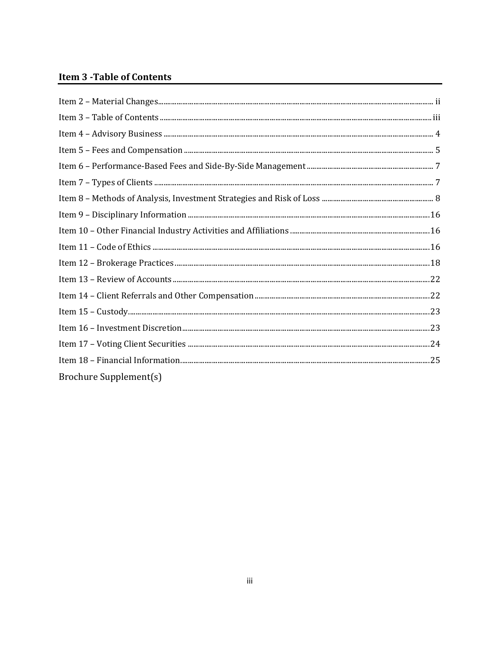#### <span id="page-2-0"></span>**Item 3 - Table of Contents**

| Brochure Supplement(s) |  |
|------------------------|--|
|                        |  |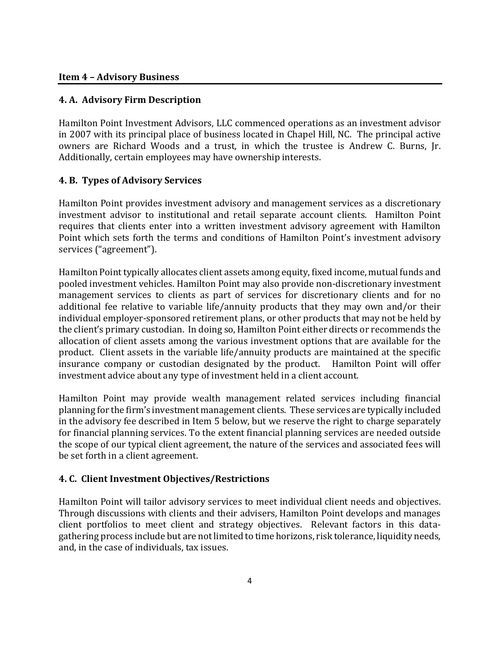#### <span id="page-3-0"></span>**4. A. Advisory Firm Description**

Hamilton Point Investment Advisors, LLC commenced operations as an investment advisor in 2007 with its principal place of business located in Chapel Hill, NC. The principal active owners are Richard Woods and a trust, in which the trustee is Andrew C. Burns, Jr. Additionally, certain employees may have ownership interests.

#### **4. B. Types of Advisory Services**

Hamilton Point provides investment advisory and management services as a discretionary investment advisor to institutional and retail separate account clients. Hamilton Point requires that clients enter into a written investment advisory agreement with Hamilton Point which sets forth the terms and conditions of Hamilton Point's investment advisory services ("agreement").

Hamilton Point typically allocates client assets among equity, fixed income, mutual funds and pooled investment vehicles. Hamilton Point may also provide non-discretionary investment management services to clients as part of services for discretionary clients and for no additional fee relative to variable life/annuity products that they may own and/or their individual employer-sponsored retirement plans, or other products that may not be held by the client's primary custodian. In doing so, Hamilton Point either directs or recommends the allocation of client assets among the various investment options that are available for the product. Client assets in the variable life/annuity products are maintained at the specific insurance company or custodian designated by the product. Hamilton Point will offer investment advice about any type of investment held in a client account.

Hamilton Point may provide wealth management related services including financial planning for the firm's investment management clients. These services are typically included in the advisory fee described in Item 5 below, but we reserve the right to charge separately for financial planning services. To the extent financial planning services are needed outside the scope of our typical client agreement, the nature of the services and associated fees will be set forth in a client agreement.

#### **4. C. Client Investment Objectives/Restrictions**

Hamilton Point will tailor advisory services to meet individual client needs and objectives. Through discussions with clients and their advisers, Hamilton Point develops and manages client portfolios to meet client and strategy objectives. Relevant factors in this datagathering process include but are not limited to time horizons, risk tolerance, liquidity needs, and, in the case of individuals, tax issues.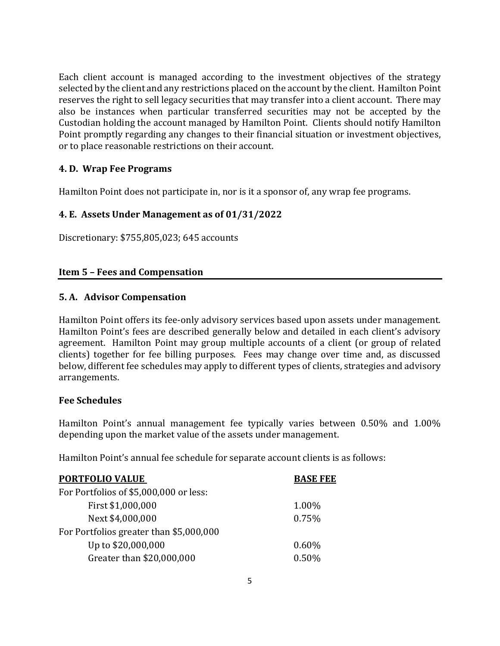Each client account is managed according to the investment objectives of the strategy selected by the client and any restrictions placed on the account by the client. Hamilton Point reserves the right to sell legacy securities that may transfer into a client account. There may also be instances when particular transferred securities may not be accepted by the Custodian holding the account managed by Hamilton Point. Clients should notify Hamilton Point promptly regarding any changes to their financial situation or investment objectives, or to place reasonable restrictions on their account.

#### **4. D. Wrap Fee Programs**

Hamilton Point does not participate in, nor is it a sponsor of, any wrap fee programs.

#### **4. E. Assets Under Management as of 01/31/2022**

Discretionary: \$755,805,023; 645 accounts

#### <span id="page-4-0"></span>**Item 5 – Fees and Compensation**

#### **5. A. Advisor Compensation**

Hamilton Point offers its fee-only advisory services based upon assets under management. Hamilton Point's fees are described generally below and detailed in each client's advisory agreement. Hamilton Point may group multiple accounts of a client (or group of related clients) together for fee billing purposes. Fees may change over time and, as discussed below, different fee schedules may apply to different types of clients, strategies and advisory arrangements.

#### **Fee Schedules**

Hamilton Point's annual management fee typically varies between 0.50% and 1.00% depending upon the market value of the assets under management.

Hamilton Point's annual fee schedule for separate account clients is as follows:

#### **PORTFOLIO VALUE BASE FEE**

| For Portfolios of \$5,000,000 or less:  |          |
|-----------------------------------------|----------|
| First \$1,000,000                       | 1.00%    |
| Next \$4,000,000                        | 0.75%    |
| For Portfolios greater than \$5,000,000 |          |
| Up to \$20,000,000                      | $0.60\%$ |
| Greater than \$20,000,000               | 0.50%    |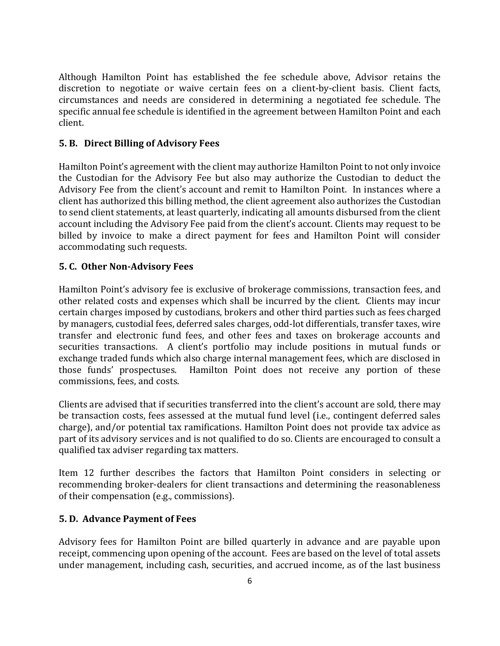Although Hamilton Point has established the fee schedule above, Advisor retains the discretion to negotiate or waive certain fees on a client-by-client basis. Client facts, circumstances and needs are considered in determining a negotiated fee schedule. The specific annual fee schedule is identified in the agreement between Hamilton Point and each client.

#### **5. B. Direct Billing of Advisory Fees**

Hamilton Point's agreement with the client may authorize Hamilton Point to not only invoice the Custodian for the Advisory Fee but also may authorize the Custodian to deduct the Advisory Fee from the client's account and remit to Hamilton Point. In instances where a client has authorized this billing method, the client agreement also authorizes the Custodian to send client statements, at least quarterly, indicating all amounts disbursed from the client account including the Advisory Fee paid from the client's account. Clients may request to be billed by invoice to make a direct payment for fees and Hamilton Point will consider accommodating such requests.

#### **5. C. Other Non-Advisory Fees**

Hamilton Point's advisory fee is exclusive of brokerage commissions, transaction fees, and other related costs and expenses which shall be incurred by the client. Clients may incur certain charges imposed by custodians, brokers and other third parties such as fees charged by managers, custodial fees, deferred sales charges, odd-lot differentials, transfer taxes, wire transfer and electronic fund fees, and other fees and taxes on brokerage accounts and securities transactions. A client's portfolio may include positions in mutual funds or exchange traded funds which also charge internal management fees, which are disclosed in those funds' prospectuses. Hamilton Point does not receive any portion of these commissions, fees, and costs.

Clients are advised that if securities transferred into the client's account are sold, there may be transaction costs, fees assessed at the mutual fund level (i.e., contingent deferred sales charge), and/or potential tax ramifications. Hamilton Point does not provide tax advice as part of its advisory services and is not qualified to do so. Clients are encouraged to consult a qualified tax adviser regarding tax matters.

Item 12 further describes the factors that Hamilton Point considers in selecting or recommending broker-dealers for client transactions and determining the reasonableness of their compensation (e.g., commissions).

#### **5. D. Advance Payment of Fees**

Advisory fees for Hamilton Point are billed quarterly in advance and are payable upon receipt, commencing upon opening of the account. Fees are based on the level of total assets under management, including cash, securities, and accrued income, as of the last business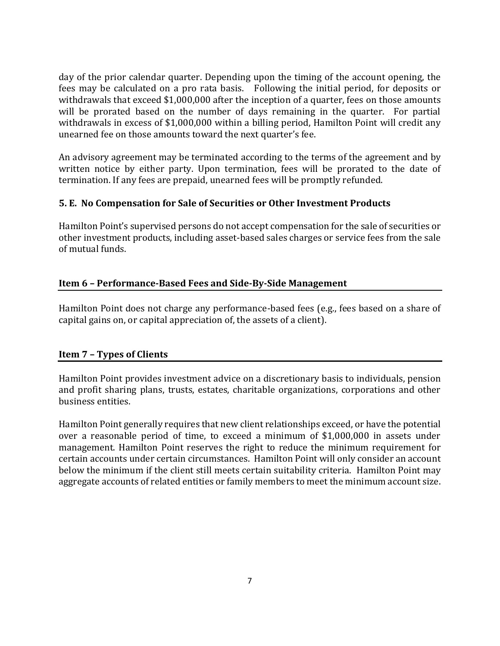day of the prior calendar quarter. Depending upon the timing of the account opening, the fees may be calculated on a pro rata basis. Following the initial period, for deposits or withdrawals that exceed \$1,000,000 after the inception of a quarter, fees on those amounts will be prorated based on the number of days remaining in the quarter. For partial withdrawals in excess of \$1,000,000 within a billing period, Hamilton Point will credit any unearned fee on those amounts toward the next quarter's fee.

An advisory agreement may be terminated according to the terms of the agreement and by written notice by either party. Upon termination, fees will be prorated to the date of termination. If any fees are prepaid, unearned fees will be promptly refunded.

#### **5. E. No Compensation for Sale of Securities or Other Investment Products**

Hamilton Point's supervised persons do not accept compensation for the sale of securities or other investment products, including asset-based sales charges or service fees from the sale of mutual funds.

#### <span id="page-6-0"></span>**Item 6 – Performance-Based Fees and Side-By-Side Management**

Hamilton Point does not charge any performance-based fees (e.g., fees based on a share of capital gains on, or capital appreciation of, the assets of a client).

#### <span id="page-6-1"></span>**Item 7 – Types of Clients**

Hamilton Point provides investment advice on a discretionary basis to individuals, pension and profit sharing plans, trusts, estates, charitable organizations, corporations and other business entities.

Hamilton Point generally requires that new client relationships exceed, or have the potential over a reasonable period of time, to exceed a minimum of \$1,000,000 in assets under management. Hamilton Point reserves the right to reduce the minimum requirement for certain accounts under certain circumstances. Hamilton Point will only consider an account below the minimum if the client still meets certain suitability criteria. Hamilton Point may aggregate accounts of related entities or family members to meet the minimum account size.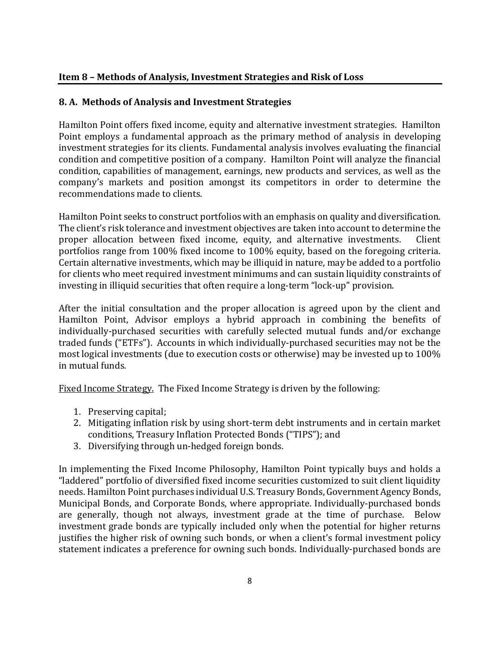#### <span id="page-7-0"></span>**Item 8 – Methods of Analysis, Investment Strategies and Risk of Loss**

#### **8. A. Methods of Analysis and Investment Strategies**

Hamilton Point offers fixed income, equity and alternative investment strategies. Hamilton Point employs a fundamental approach as the primary method of analysis in developing investment strategies for its clients. Fundamental analysis involves evaluating the financial condition and competitive position of a company. Hamilton Point will analyze the financial condition, capabilities of management, earnings, new products and services, as well as the company's markets and position amongst its competitors in order to determine the recommendations made to clients.

Hamilton Point seeks to construct portfolios with an emphasis on quality and diversification. The client's risk tolerance and investment objectives are taken into account to determine the proper allocation between fixed income, equity, and alternative investments. Client portfolios range from 100% fixed income to 100% equity, based on the foregoing criteria. Certain alternative investments, which may be illiquid in nature, may be added to a portfolio for clients who meet required investment minimums and can sustain liquidity constraints of investing in illiquid securities that often require a long-term "lock-up" provision.

After the initial consultation and the proper allocation is agreed upon by the client and Hamilton Point, Advisor employs a hybrid approach in combining the benefits of individually-purchased securities with carefully selected mutual funds and/or exchange traded funds ("ETFs"). Accounts in which individually-purchased securities may not be the most logical investments (due to execution costs or otherwise) may be invested up to 100% in mutual funds.

Fixed Income Strategy. The Fixed Income Strategy is driven by the following:

- 1. Preserving capital;
- 2. Mitigating inflation risk by using short-term debt instruments and in certain market conditions, Treasury Inflation Protected Bonds ("TIPS"); and
- 3. Diversifying through un-hedged foreign bonds.

In implementing the Fixed Income Philosophy, Hamilton Point typically buys and holds a "laddered" portfolio of diversified fixed income securities customized to suit client liquidity needs. Hamilton Point purchases individual U.S. Treasury Bonds, Government Agency Bonds, Municipal Bonds, and Corporate Bonds, where appropriate. Individually-purchased bonds are generally, though not always, investment grade at the time of purchase. Below investment grade bonds are typically included only when the potential for higher returns justifies the higher risk of owning such bonds, or when a client's formal investment policy statement indicates a preference for owning such bonds. Individually-purchased bonds are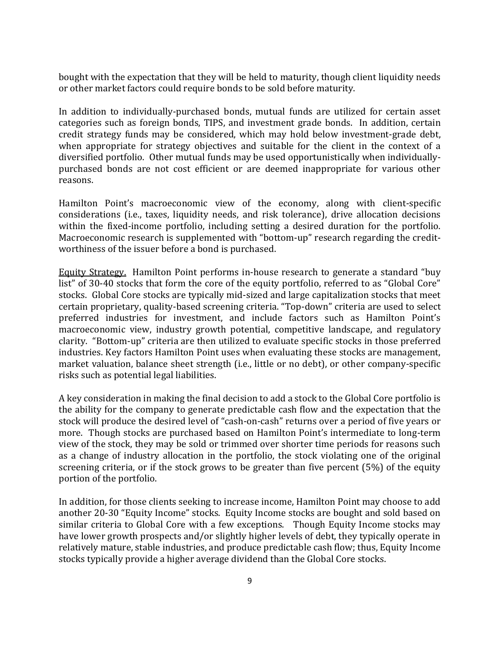bought with the expectation that they will be held to maturity, though client liquidity needs or other market factors could require bonds to be sold before maturity.

In addition to individually-purchased bonds, mutual funds are utilized for certain asset categories such as foreign bonds, TIPS, and investment grade bonds. In addition, certain credit strategy funds may be considered, which may hold below investment-grade debt, when appropriate for strategy objectives and suitable for the client in the context of a diversified portfolio. Other mutual funds may be used opportunistically when individuallypurchased bonds are not cost efficient or are deemed inappropriate for various other reasons.

Hamilton Point's macroeconomic view of the economy, along with client-specific considerations (i.e., taxes, liquidity needs, and risk tolerance), drive allocation decisions within the fixed-income portfolio, including setting a desired duration for the portfolio. Macroeconomic research is supplemented with "bottom-up" research regarding the creditworthiness of the issuer before a bond is purchased.

Equity Strategy. Hamilton Point performs in-house research to generate a standard "buy list" of 30-40 stocks that form the core of the equity portfolio, referred to as "Global Core" stocks. Global Core stocks are typically mid-sized and large capitalization stocks that meet certain proprietary, quality-based screening criteria. "Top-down" criteria are used to select preferred industries for investment, and include factors such as Hamilton Point's macroeconomic view, industry growth potential, competitive landscape, and regulatory clarity. "Bottom-up" criteria are then utilized to evaluate specific stocks in those preferred industries. Key factors Hamilton Point uses when evaluating these stocks are management, market valuation, balance sheet strength (i.e., little or no debt), or other company-specific risks such as potential legal liabilities.

A key consideration in making the final decision to add a stock to the Global Core portfolio is the ability for the company to generate predictable cash flow and the expectation that the stock will produce the desired level of "cash-on-cash" returns over a period of five years or more. Though stocks are purchased based on Hamilton Point's intermediate to long-term view of the stock, they may be sold or trimmed over shorter time periods for reasons such as a change of industry allocation in the portfolio, the stock violating one of the original screening criteria, or if the stock grows to be greater than five percent (5%) of the equity portion of the portfolio.

In addition, for those clients seeking to increase income, Hamilton Point may choose to add another 20-30 "Equity Income" stocks. Equity Income stocks are bought and sold based on similar criteria to Global Core with a few exceptions. Though Equity Income stocks may have lower growth prospects and/or slightly higher levels of debt, they typically operate in relatively mature, stable industries, and produce predictable cash flow; thus, Equity Income stocks typically provide a higher average dividend than the Global Core stocks.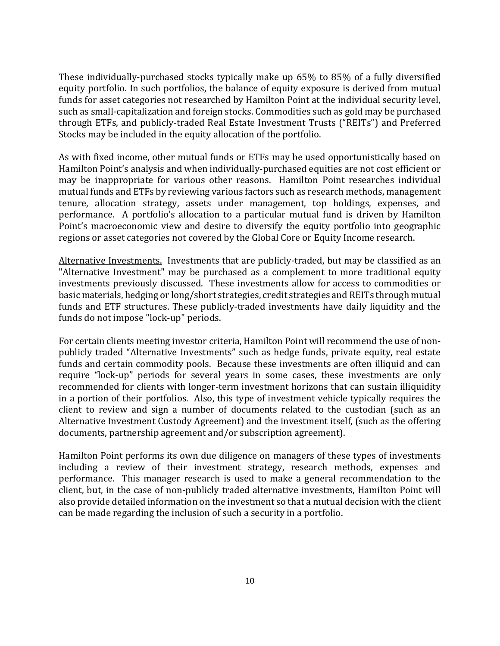These individually-purchased stocks typically make up 65% to 85% of a fully diversified equity portfolio. In such portfolios, the balance of equity exposure is derived from mutual funds for asset categories not researched by Hamilton Point at the individual security level, such as small-capitalization and foreign stocks. Commodities such as gold may be purchased through ETFs, and publicly-traded Real Estate Investment Trusts ("REITs") and Preferred Stocks may be included in the equity allocation of the portfolio.

As with fixed income, other mutual funds or ETFs may be used opportunistically based on Hamilton Point's analysis and when individually-purchased equities are not cost efficient or may be inappropriate for various other reasons. Hamilton Point researches individual mutual funds and ETFs by reviewing various factors such as research methods, management tenure, allocation strategy, assets under management, top holdings, expenses, and performance. A portfolio's allocation to a particular mutual fund is driven by Hamilton Point's macroeconomic view and desire to diversify the equity portfolio into geographic regions or asset categories not covered by the Global Core or Equity Income research.

Alternative Investments. Investments that are publicly-traded, but may be classified as an "Alternative Investment" may be purchased as a complement to more traditional equity investments previously discussed. These investments allow for access to commodities or basic materials, hedging or long/short strategies, credit strategies and REITs through mutual funds and ETF structures. These publicly-traded investments have daily liquidity and the funds do not impose "lock-up" periods.

For certain clients meeting investor criteria, Hamilton Point will recommend the use of nonpublicly traded "Alternative Investments" such as hedge funds, private equity, real estate funds and certain commodity pools. Because these investments are often illiquid and can require "lock-up" periods for several years in some cases, these investments are only recommended for clients with longer-term investment horizons that can sustain illiquidity in a portion of their portfolios. Also, this type of investment vehicle typically requires the client to review and sign a number of documents related to the custodian (such as an Alternative Investment Custody Agreement) and the investment itself, (such as the offering documents, partnership agreement and/or subscription agreement).

Hamilton Point performs its own due diligence on managers of these types of investments including a review of their investment strategy, research methods, expenses and performance. This manager research is used to make a general recommendation to the client, but, in the case of non-publicly traded alternative investments, Hamilton Point will also provide detailed information on the investment so that a mutual decision with the client can be made regarding the inclusion of such a security in a portfolio.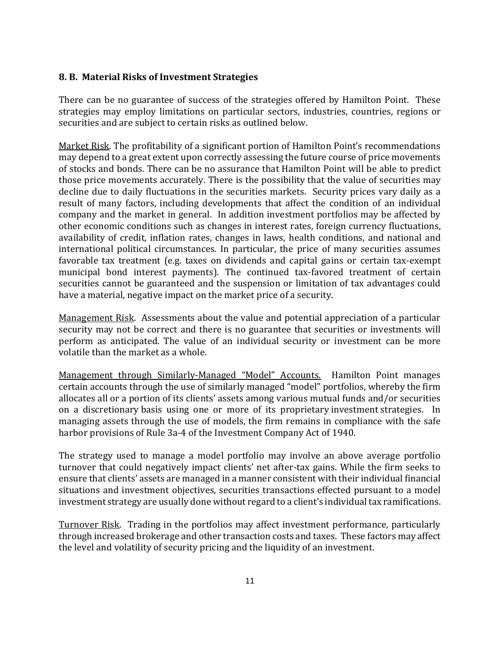#### **8. B. Material Risks of Investment Strategies**

There can be no guarantee of success of the strategies offered by Hamilton Point. These strategies may employ limitations on particular sectors, industries, countries, regions or securities and are subject to certain risks as outlined below.

Market Risk. The profitability of a significant portion of Hamilton Point's recommendations may depend to a great extent upon correctly assessing the future course of price movements of stocks and bonds. There can be no assurance that Hamilton Point will be able to predict those price movements accurately. There is the possibility that the value of securities may decline due to daily fluctuations in the securities markets. Security prices vary daily as a result of many factors, including developments that affect the condition of an individual company and the market in general. In addition investment portfolios may be affected by other economic conditions such as changes in interest rates, foreign currency fluctuations, availability of credit, inflation rates, changes in laws, health conditions, and national and international political circumstances. In particular, the price of many securities assumes favorable tax treatment (e.g. taxes on dividends and capital gains or certain tax-exempt municipal bond interest payments). The continued tax-favored treatment of certain securities cannot be guaranteed and the suspension or limitation of tax advantages could have a material, negative impact on the market price of a security.

Management Risk. Assessments about the value and potential appreciation of a particular security may not be correct and there is no guarantee that securities or investments will perform as anticipated. The value of an individual security or investment can be more volatile than the market as a whole.

Management through Similarly-Managed "Model" Accounts. Hamilton Point manages certain accounts through the use of similarly managed "model" portfolios, whereby the firm allocates all or a portion of its clients' assets among various mutual funds and/or securities on a discretionary basis using one or more of its proprietary investment strategies. In managing assets through the use of models, the firm remains in compliance with the safe harbor provisions of Rule 3a-4 of the Investment Company Act of 1940.

The strategy used to manage a model portfolio may involve an above average portfolio turnover that could negatively impact clients' net after-tax gains. While the firm seeks to ensure that clients' assets are managed in a manner consistent with their individual financial situations and investment objectives, securities transactions effected pursuant to a model investment strategy are usually done without regard to a client's individual tax ramifications.

Turnover Risk. Trading in the portfolios may affect investment performance, particularly through increased brokerage and other transaction costs and taxes. These factors may affect the level and volatility of security pricing and the liquidity of an investment.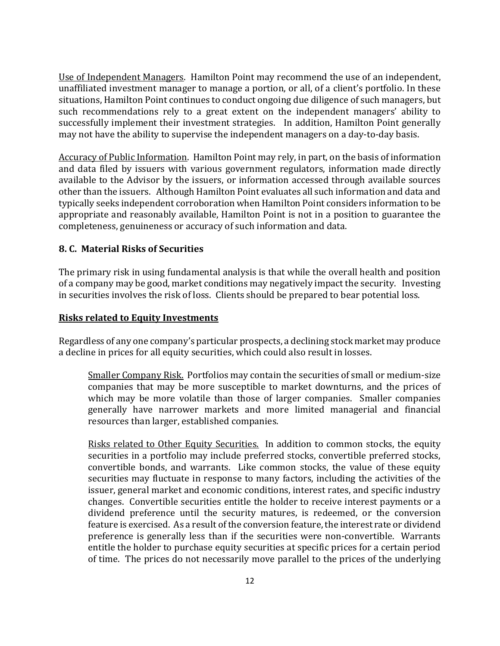Use of Independent Managers. Hamilton Point may recommend the use of an independent, unaffiliated investment manager to manage a portion, or all, of a client's portfolio. In these situations, Hamilton Point continues to conduct ongoing due diligence of such managers, but such recommendations rely to a great extent on the independent managers' ability to successfully implement their investment strategies. In addition, Hamilton Point generally may not have the ability to supervise the independent managers on a day-to-day basis.

Accuracy of Public Information. Hamilton Point may rely, in part, on the basis of information and data filed by issuers with various government regulators, information made directly available to the Advisor by the issuers, or information accessed through available sources other than the issuers. Although Hamilton Point evaluates all such information and data and typically seeks independent corroboration when Hamilton Point considers information to be appropriate and reasonably available, Hamilton Point is not in a position to guarantee the completeness, genuineness or accuracy of such information and data.

#### **8. C. Material Risks of Securities**

The primary risk in using fundamental analysis is that while the overall health and position of a company may be good, market conditions may negatively impact the security. Investing in securities involves the risk of loss. Clients should be prepared to bear potential loss.

#### **Risks related to Equity Investments**

Regardless of any one company's particular prospects, a declining stock market may produce a decline in prices for all equity securities, which could also result in losses.

Smaller Company Risk. Portfolios may contain the securities of small or medium-size companies that may be more susceptible to market downturns, and the prices of which may be more volatile than those of larger companies. Smaller companies generally have narrower markets and more limited managerial and financial resources than larger, established companies.

Risks related to Other Equity Securities. In addition to common stocks, the equity securities in a portfolio may include preferred stocks, convertible preferred stocks, convertible bonds, and warrants. Like common stocks, the value of these equity securities may fluctuate in response to many factors, including the activities of the issuer, general market and economic conditions, interest rates, and specific industry changes. Convertible securities entitle the holder to receive interest payments or a dividend preference until the security matures, is redeemed, or the conversion feature is exercised. As a result of the conversion feature, the interest rate or dividend preference is generally less than if the securities were non-convertible. Warrants entitle the holder to purchase equity securities at specific prices for a certain period of time. The prices do not necessarily move parallel to the prices of the underlying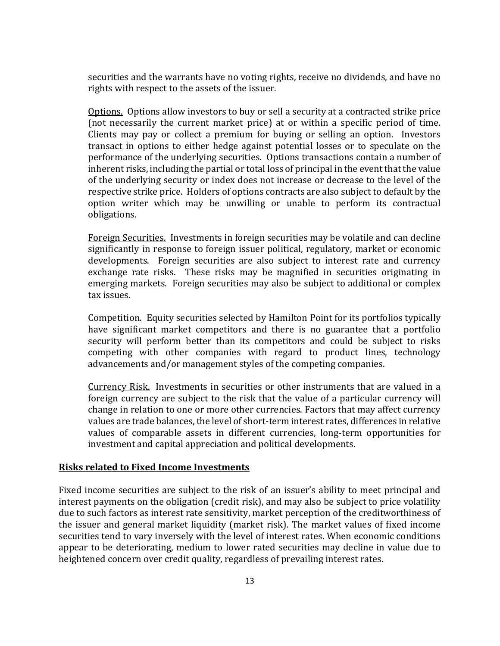securities and the warrants have no voting rights, receive no dividends, and have no rights with respect to the assets of the issuer.

Options. Options allow investors to buy or sell a security at a contracted strike price (not necessarily the current market price) at or within a specific period of time. Clients may pay or collect a premium for buying or selling an option. Investors transact in options to either hedge against potential losses or to speculate on the performance of the underlying securities. Options transactions contain a number of inherent risks, including the partial or total loss of principal in the event that the value of the underlying security or index does not increase or decrease to the level of the respective strike price. Holders of options contracts are also subject to default by the option writer which may be unwilling or unable to perform its contractual obligations.

Foreign Securities. Investments in foreign securities may be volatile and can decline significantly in response to foreign issuer political, regulatory, market or economic developments. Foreign securities are also subject to interest rate and currency exchange rate risks. These risks may be magnified in securities originating in emerging markets. Foreign securities may also be subject to additional or complex tax issues.

Competition. Equity securities selected by Hamilton Point for its portfolios typically have significant market competitors and there is no guarantee that a portfolio security will perform better than its competitors and could be subject to risks competing with other companies with regard to product lines, technology advancements and/or management styles of the competing companies.

Currency Risk. Investments in securities or other instruments that are valued in a foreign currency are subject to the risk that the value of a particular currency will change in relation to one or more other currencies. Factors that may affect currency values are trade balances, the level of short-term interest rates, differences in relative values of comparable assets in different currencies, long-term opportunities for investment and capital appreciation and political developments.

#### **Risks related to Fixed Income Investments**

Fixed income securities are subject to the risk of an issuer's ability to meet principal and interest payments on the obligation (credit risk), and may also be subject to price volatility due to such factors as interest rate sensitivity, market perception of the creditworthiness of the issuer and general market liquidity (market risk). The market values of fixed income securities tend to vary inversely with the level of interest rates. When economic conditions appear to be deteriorating, medium to lower rated securities may decline in value due to heightened concern over credit quality, regardless of prevailing interest rates.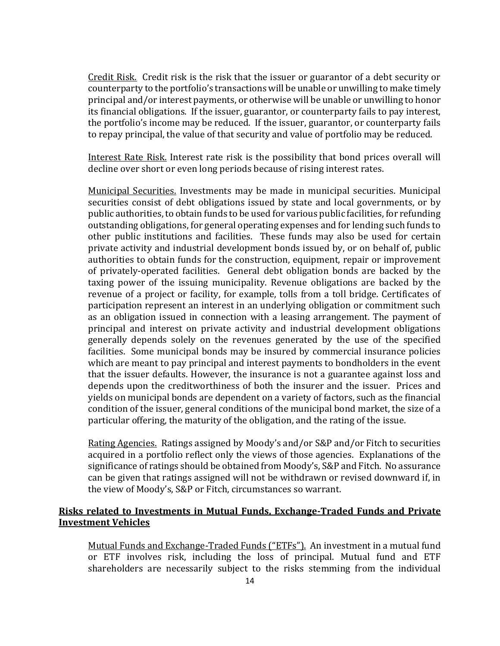Credit Risk. Credit risk is the risk that the issuer or guarantor of a debt security or counterparty to the portfolio's transactions will be unable or unwilling to make timely principal and/or interest payments, or otherwise will be unable or unwilling to honor its financial obligations. If the issuer, guarantor, or counterparty fails to pay interest, the portfolio's income may be reduced. If the issuer, guarantor, or counterparty fails to repay principal, the value of that security and value of portfolio may be reduced.

Interest Rate Risk. Interest rate risk is the possibility that bond prices overall will decline over short or even long periods because of rising interest rates.

Municipal Securities. Investments may be made in municipal securities. Municipal securities consist of debt obligations issued by state and local governments, or by public authorities, to obtain funds to be used for various public facilities, for refunding outstanding obligations, for general operating expenses and for lending such funds to other public institutions and facilities. These funds may also be used for certain private activity and industrial development bonds issued by, or on behalf of, public authorities to obtain funds for the construction, equipment, repair or improvement of privately-operated facilities. General debt obligation bonds are backed by the taxing power of the issuing municipality. Revenue obligations are backed by the revenue of a project or facility, for example, tolls from a toll bridge. Certificates of participation represent an interest in an underlying obligation or commitment such as an obligation issued in connection with a leasing arrangement. The payment of principal and interest on private activity and industrial development obligations generally depends solely on the revenues generated by the use of the specified facilities. Some municipal bonds may be insured by commercial insurance policies which are meant to pay principal and interest payments to bondholders in the event that the issuer defaults. However, the insurance is not a guarantee against loss and depends upon the creditworthiness of both the insurer and the issuer. Prices and yields on municipal bonds are dependent on a variety of factors, such as the financial condition of the issuer, general conditions of the municipal bond market, the size of a particular offering, the maturity of the obligation, and the rating of the issue.

Rating Agencies. Ratings assigned by Moody's and/or S&P and/or Fitch to securities acquired in a portfolio reflect only the views of those agencies. Explanations of the significance of ratings should be obtained from Moody's, S&P and Fitch. No assurance can be given that ratings assigned will not be withdrawn or revised downward if, in the view of Moody's, S&P or Fitch, circumstances so warrant.

#### **Risks related to Investments in Mutual Funds, Exchange-Traded Funds and Private Investment Vehicles**

Mutual Funds and Exchange-Traded Funds ("ETFs"). An investment in a mutual fund or ETF involves risk, including the loss of principal. Mutual fund and ETF shareholders are necessarily subject to the risks stemming from the individual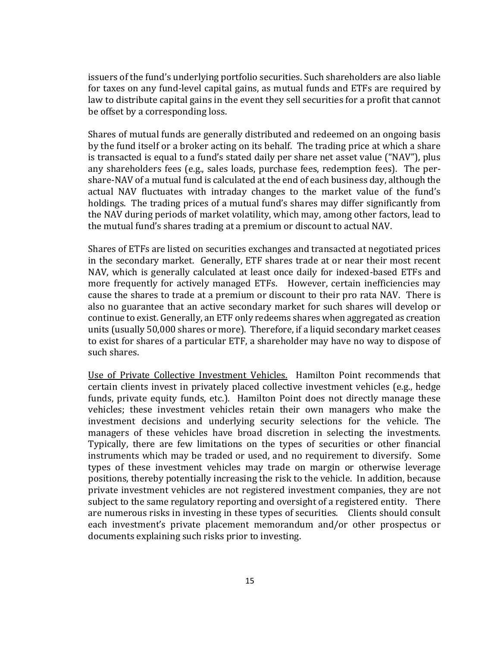issuers of the fund's underlying portfolio securities. Such shareholders are also liable for taxes on any fund-level capital gains, as mutual funds and ETFs are required by law to distribute capital gains in the event they sell securities for a profit that cannot be offset by a corresponding loss.

Shares of mutual funds are generally distributed and redeemed on an ongoing basis by the fund itself or a broker acting on its behalf. The trading price at which a share is transacted is equal to a fund's stated daily per share net asset value ("NAV"), plus any shareholders fees (e.g., sales loads, purchase fees, redemption fees). The pershare-NAV of a mutual fund is calculated at the end of each business day, although the actual NAV fluctuates with intraday changes to the market value of the fund's holdings. The trading prices of a mutual fund's shares may differ significantly from the NAV during periods of market volatility, which may, among other factors, lead to the mutual fund's shares trading at a premium or discount to actual NAV.

Shares of ETFs are listed on securities exchanges and transacted at negotiated prices in the secondary market. Generally, ETF shares trade at or near their most recent NAV, which is generally calculated at least once daily for indexed-based ETFs and more frequently for actively managed ETFs. However, certain inefficiencies may cause the shares to trade at a premium or discount to their pro rata NAV. There is also no guarantee that an active secondary market for such shares will develop or continue to exist. Generally, an ETF only redeems shares when aggregated as creation units (usually 50,000 shares or more). Therefore, if a liquid secondary market ceases to exist for shares of a particular ETF, a shareholder may have no way to dispose of such shares.

Use of Private Collective Investment Vehicles. Hamilton Point recommends that certain clients invest in privately placed collective investment vehicles (e.g., hedge funds, private equity funds, etc.). Hamilton Point does not directly manage these vehicles; these investment vehicles retain their own managers who make the investment decisions and underlying security selections for the vehicle. The managers of these vehicles have broad discretion in selecting the investments. Typically, there are few limitations on the types of securities or other financial instruments which may be traded or used, and no requirement to diversify. Some types of these investment vehicles may trade on margin or otherwise leverage positions, thereby potentially increasing the risk to the vehicle. In addition, because private investment vehicles are not registered investment companies, they are not subject to the same regulatory reporting and oversight of a registered entity. There are numerous risks in investing in these types of securities. Clients should consult each investment's private placement memorandum and/or other prospectus or documents explaining such risks prior to investing.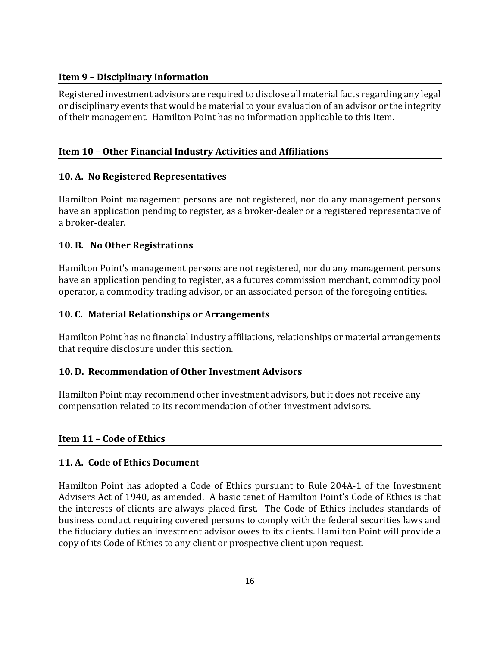#### <span id="page-15-0"></span>**Item 9 – Disciplinary Information**

Registered investment advisors are required to disclose all material facts regarding any legal or disciplinary events that would be material to your evaluation of an advisor or the integrity of their management. Hamilton Point has no information applicable to this Item.

#### <span id="page-15-1"></span>**Item 10 – Other Financial Industry Activities and Affiliations**

#### **10. A. No Registered Representatives**

Hamilton Point management persons are not registered, nor do any management persons have an application pending to register, as a broker-dealer or a registered representative of a broker-dealer.

#### **10. B. No Other Registrations**

Hamilton Point's management persons are not registered, nor do any management persons have an application pending to register, as a futures commission merchant, commodity pool operator, a commodity trading advisor, or an associated person of the foregoing entities.

#### **10. C. Material Relationships or Arrangements**

Hamilton Point has no financial industry affiliations, relationships or material arrangements that require disclosure under this section.

#### **10. D. Recommendation of Other Investment Advisors**

<span id="page-15-2"></span>Hamilton Point may recommend other investment advisors, but it does not receive any compensation related to its recommendation of other investment advisors.

#### **Item 11 – Code of Ethics**

#### **11. A. Code of Ethics Document**

Hamilton Point has adopted a Code of Ethics pursuant to Rule 204A-1 of the Investment Advisers Act of 1940, as amended. A basic tenet of Hamilton Point's Code of Ethics is that the interests of clients are always placed first. The Code of Ethics includes standards of business conduct requiring covered persons to comply with the federal securities laws and the fiduciary duties an investment advisor owes to its clients. Hamilton Point will provide a copy of its Code of Ethics to any client or prospective client upon request.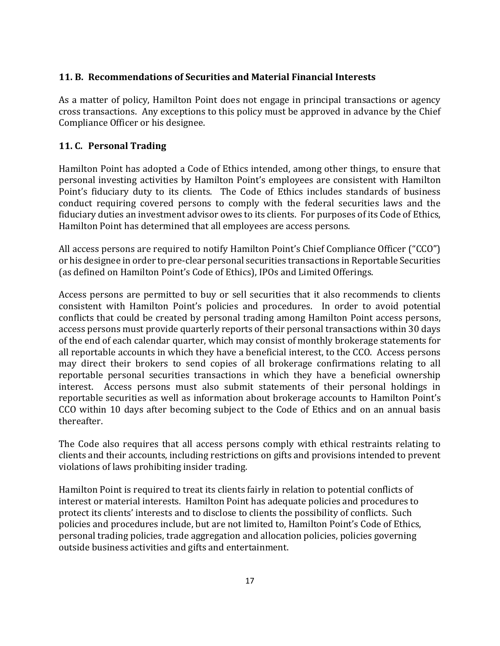#### **11. B. Recommendations of Securities and Material Financial Interests**

As a matter of policy, Hamilton Point does not engage in principal transactions or agency cross transactions. Any exceptions to this policy must be approved in advance by the Chief Compliance Officer or his designee.

#### **11. C. Personal Trading**

Hamilton Point has adopted a Code of Ethics intended, among other things, to ensure that personal investing activities by Hamilton Point's employees are consistent with Hamilton Point's fiduciary duty to its clients. The Code of Ethics includes standards of business conduct requiring covered persons to comply with the federal securities laws and the fiduciary duties an investment advisor owes to its clients. For purposes of its Code of Ethics, Hamilton Point has determined that all employees are access persons.

All access persons are required to notify Hamilton Point's Chief Compliance Officer ("CCO") or his designee in order to pre-clear personal securities transactions in Reportable Securities (as defined on Hamilton Point's Code of Ethics), IPOs and Limited Offerings.

Access persons are permitted to buy or sell securities that it also recommends to clients consistent with Hamilton Point's policies and procedures. In order to avoid potential conflicts that could be created by personal trading among Hamilton Point access persons, access persons must provide quarterly reports of their personal transactions within 30 days of the end of each calendar quarter, which may consist of monthly brokerage statements for all reportable accounts in which they have a beneficial interest, to the CCO. Access persons may direct their brokers to send copies of all brokerage confirmations relating to all reportable personal securities transactions in which they have a beneficial ownership interest. Access persons must also submit statements of their personal holdings in reportable securities as well as information about brokerage accounts to Hamilton Point's CCO within 10 days after becoming subject to the Code of Ethics and on an annual basis thereafter.

The Code also requires that all access persons comply with ethical restraints relating to clients and their accounts, including restrictions on gifts and provisions intended to prevent violations of laws prohibiting insider trading.

Hamilton Point is required to treat its clients fairly in relation to potential conflicts of interest or material interests. Hamilton Point has adequate policies and procedures to protect its clients' interests and to disclose to clients the possibility of conflicts. Such policies and procedures include, but are not limited to, Hamilton Point's Code of Ethics, personal trading policies, trade aggregation and allocation policies, policies governing outside business activities and gifts and entertainment.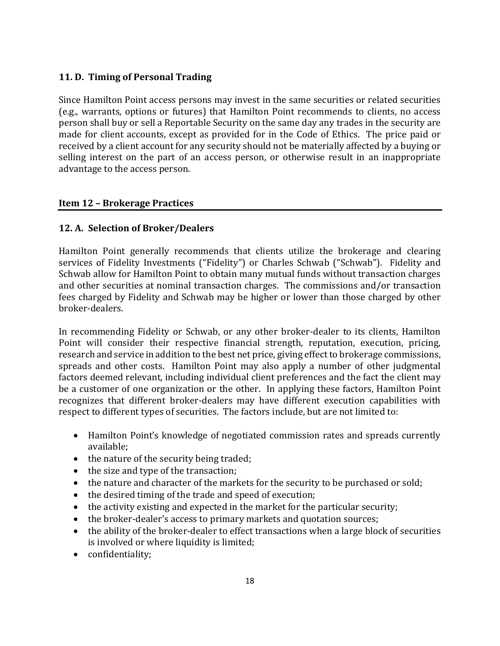#### **11. D. Timing of Personal Trading**

Since Hamilton Point access persons may invest in the same securities or related securities (e.g., warrants, options or futures) that Hamilton Point recommends to clients, no access person shall buy or sell a Reportable Security on the same day any trades in the security are made for client accounts, except as provided for in the Code of Ethics. The price paid or received by a client account for any security should not be materially affected by a buying or selling interest on the part of an access person, or otherwise result in an inappropriate advantage to the access person.

#### <span id="page-17-0"></span>**Item 12 – Brokerage Practices**

#### **12. A. Selection of Broker/Dealers**

Hamilton Point generally recommends that clients utilize the brokerage and clearing services of Fidelity Investments ("Fidelity") or Charles Schwab ("Schwab"). Fidelity and Schwab allow for Hamilton Point to obtain many mutual funds without transaction charges and other securities at nominal transaction charges. The commissions and/or transaction fees charged by Fidelity and Schwab may be higher or lower than those charged by other broker-dealers.

In recommending Fidelity or Schwab, or any other broker-dealer to its clients, Hamilton Point will consider their respective financial strength, reputation, execution, pricing, research and service in addition to the best net price, giving effect to brokerage commissions, spreads and other costs. Hamilton Point may also apply a number of other judgmental factors deemed relevant, including individual client preferences and the fact the client may be a customer of one organization or the other. In applying these factors, Hamilton Point recognizes that different broker-dealers may have different execution capabilities with respect to different types of securities. The factors include, but are not limited to:

- Hamilton Point's knowledge of negotiated commission rates and spreads currently available;
- the nature of the security being traded;
- the size and type of the transaction;
- the nature and character of the markets for the security to be purchased or sold;
- the desired timing of the trade and speed of execution;
- the activity existing and expected in the market for the particular security;
- the broker-dealer's access to primary markets and quotation sources;
- the ability of the broker-dealer to effect transactions when a large block of securities is involved or where liquidity is limited;
- confidentiality;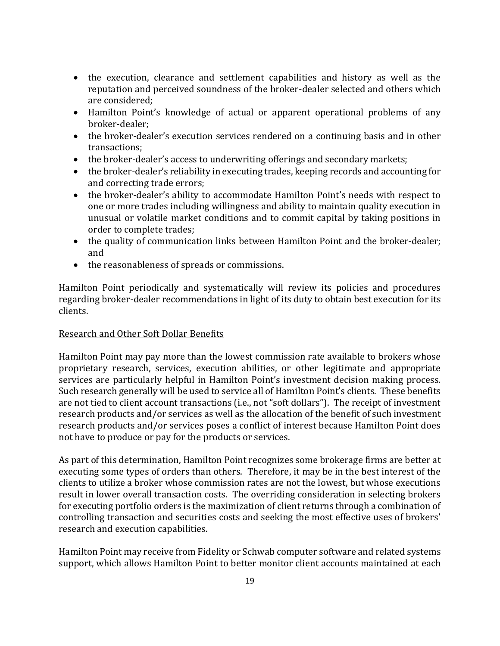- the execution, clearance and settlement capabilities and history as well as the reputation and perceived soundness of the broker-dealer selected and others which are considered;
- Hamilton Point's knowledge of actual or apparent operational problems of any broker-dealer;
- the broker-dealer's execution services rendered on a continuing basis and in other transactions;
- the broker-dealer's access to underwriting offerings and secondary markets;
- the broker-dealer's reliability in executing trades, keeping records and accounting for and correcting trade errors;
- the broker-dealer's ability to accommodate Hamilton Point's needs with respect to one or more trades including willingness and ability to maintain quality execution in unusual or volatile market conditions and to commit capital by taking positions in order to complete trades;
- the quality of communication links between Hamilton Point and the broker-dealer; and
- the reasonableness of spreads or commissions.

Hamilton Point periodically and systematically will review its policies and procedures regarding broker-dealer recommendations in light of its duty to obtain best execution for its clients.

#### Research and Other Soft Dollar Benefits

Hamilton Point may pay more than the lowest commission rate available to brokers whose proprietary research, services, execution abilities, or other legitimate and appropriate services are particularly helpful in Hamilton Point's investment decision making process. Such research generally will be used to service all of Hamilton Point's clients. These benefits are not tied to client account transactions (i.e., not "soft dollars"). The receipt of investment research products and/or services as well as the allocation of the benefit of such investment research products and/or services poses a conflict of interest because Hamilton Point does not have to produce or pay for the products or services.

As part of this determination, Hamilton Point recognizes some brokerage firms are better at executing some types of orders than others. Therefore, it may be in the best interest of the clients to utilize a broker whose commission rates are not the lowest, but whose executions result in lower overall transaction costs. The overriding consideration in selecting brokers for executing portfolio orders is the maximization of client returns through a combination of controlling transaction and securities costs and seeking the most effective uses of brokers' research and execution capabilities.

Hamilton Point may receive from Fidelity or Schwab computer software and related systems support, which allows Hamilton Point to better monitor client accounts maintained at each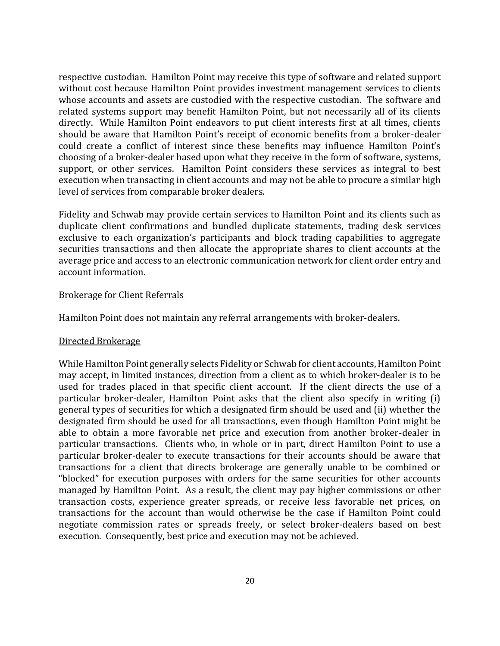respective custodian. Hamilton Point may receive this type of software and related support without cost because Hamilton Point provides investment management services to clients whose accounts and assets are custodied with the respective custodian. The software and related systems support may benefit Hamilton Point, but not necessarily all of its clients directly. While Hamilton Point endeavors to put client interests first at all times, clients should be aware that Hamilton Point's receipt of economic benefits from a broker-dealer could create a conflict of interest since these benefits may influence Hamilton Point's choosing of a broker-dealer based upon what they receive in the form of software, systems, support, or other services. Hamilton Point considers these services as integral to best execution when transacting in client accounts and may not be able to procure a similar high level of services from comparable broker dealers.

Fidelity and Schwab may provide certain services to Hamilton Point and its clients such as duplicate client confirmations and bundled duplicate statements, trading desk services exclusive to each organization's participants and block trading capabilities to aggregate securities transactions and then allocate the appropriate shares to client accounts at the average price and access to an electronic communication network for client order entry and account information.

#### Brokerage for Client Referrals

Hamilton Point does not maintain any referral arrangements with broker-dealers.

#### Directed Brokerage

While Hamilton Point generally selects Fidelity or Schwab for client accounts, Hamilton Point may accept, in limited instances, direction from a client as to which broker-dealer is to be used for trades placed in that specific client account. If the client directs the use of a particular broker-dealer, Hamilton Point asks that the client also specify in writing (i) general types of securities for which a designated firm should be used and (ii) whether the designated firm should be used for all transactions, even though Hamilton Point might be able to obtain a more favorable net price and execution from another broker-dealer in particular transactions. Clients who, in whole or in part, direct Hamilton Point to use a particular broker-dealer to execute transactions for their accounts should be aware that transactions for a client that directs brokerage are generally unable to be combined or "blocked" for execution purposes with orders for the same securities for other accounts managed by Hamilton Point. As a result, the client may pay higher commissions or other transaction costs, experience greater spreads, or receive less favorable net prices, on transactions for the account than would otherwise be the case if Hamilton Point could negotiate commission rates or spreads freely, or select broker-dealers based on best execution. Consequently, best price and execution may not be achieved.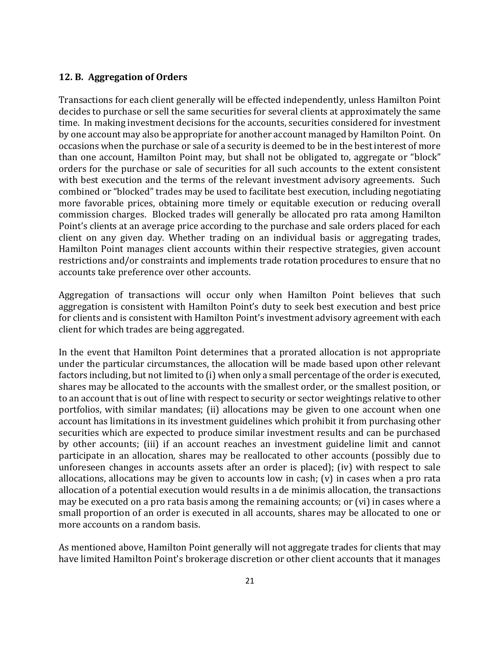#### **12. B. Aggregation of Orders**

Transactions for each client generally will be effected independently, unless Hamilton Point decides to purchase or sell the same securities for several clients at approximately the same time. In making investment decisions for the accounts, securities considered for investment by one account may also be appropriate for another account managed by Hamilton Point. On occasions when the purchase or sale of a security is deemed to be in the best interest of more than one account, Hamilton Point may, but shall not be obligated to, aggregate or "block" orders for the purchase or sale of securities for all such accounts to the extent consistent with best execution and the terms of the relevant investment advisory agreements. Such combined or "blocked" trades may be used to facilitate best execution, including negotiating more favorable prices, obtaining more timely or equitable execution or reducing overall commission charges. Blocked trades will generally be allocated pro rata among Hamilton Point's clients at an average price according to the purchase and sale orders placed for each client on any given day. Whether trading on an individual basis or aggregating trades, Hamilton Point manages client accounts within their respective strategies, given account restrictions and/or constraints and implements trade rotation procedures to ensure that no accounts take preference over other accounts.

Aggregation of transactions will occur only when Hamilton Point believes that such aggregation is consistent with Hamilton Point's duty to seek best execution and best price for clients and is consistent with Hamilton Point's investment advisory agreement with each client for which trades are being aggregated.

In the event that Hamilton Point determines that a prorated allocation is not appropriate under the particular circumstances, the allocation will be made based upon other relevant factors including, but not limited to (i) when only a small percentage of the order is executed, shares may be allocated to the accounts with the smallest order, or the smallest position, or to an account that is out of line with respect to security or sector weightings relative to other portfolios, with similar mandates; (ii) allocations may be given to one account when one account has limitations in its investment guidelines which prohibit it from purchasing other securities which are expected to produce similar investment results and can be purchased by other accounts; (iii) if an account reaches an investment guideline limit and cannot participate in an allocation, shares may be reallocated to other accounts (possibly due to unforeseen changes in accounts assets after an order is placed); (iv) with respect to sale allocations, allocations may be given to accounts low in cash; (v) in cases when a pro rata allocation of a potential execution would results in a de minimis allocation, the transactions may be executed on a pro rata basis among the remaining accounts; or (vi) in cases where a small proportion of an order is executed in all accounts, shares may be allocated to one or more accounts on a random basis.

As mentioned above, Hamilton Point generally will not aggregate trades for clients that may have limited Hamilton Point's brokerage discretion or other client accounts that it manages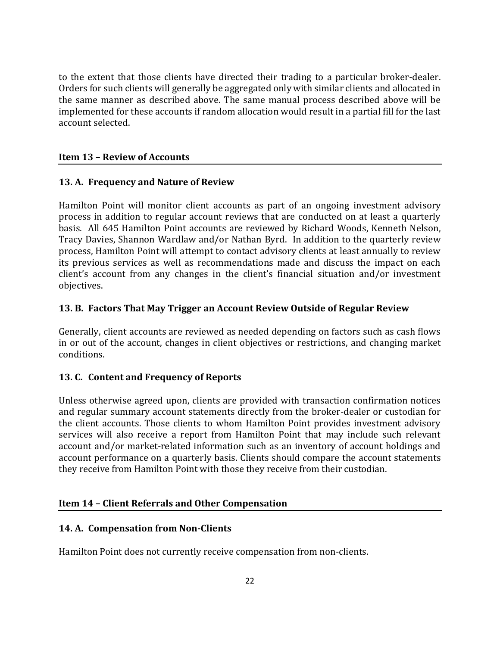to the extent that those clients have directed their trading to a particular broker-dealer. Orders for such clients will generally be aggregated only with similar clients and allocated in the same manner as described above. The same manual process described above will be implemented for these accounts if random allocation would result in a partial fill for the last account selected.

#### <span id="page-21-0"></span>**Item 13 – Review of Accounts**

#### **13. A. Frequency and Nature of Review**

Hamilton Point will monitor client accounts as part of an ongoing investment advisory process in addition to regular account reviews that are conducted on at least a quarterly basis. All 645 Hamilton Point accounts are reviewed by Richard Woods, Kenneth Nelson, Tracy Davies, Shannon Wardlaw and/or Nathan Byrd. In addition to the quarterly review process, Hamilton Point will attempt to contact advisory clients at least annually to review its previous services as well as recommendations made and discuss the impact on each client's account from any changes in the client's financial situation and/or investment objectives.

#### **13. B. Factors That May Trigger an Account Review Outside of Regular Review**

Generally, client accounts are reviewed as needed depending on factors such as cash flows in or out of the account, changes in client objectives or restrictions, and changing market conditions.

#### **13. C. Content and Frequency of Reports**

Unless otherwise agreed upon, clients are provided with transaction confirmation notices and regular summary account statements directly from the broker-dealer or custodian for the client accounts. Those clients to whom Hamilton Point provides investment advisory services will also receive a report from Hamilton Point that may include such relevant account and/or market-related information such as an inventory of account holdings and account performance on a quarterly basis. Clients should compare the account statements they receive from Hamilton Point with those they receive from their custodian.

#### <span id="page-21-1"></span>**Item 14 – Client Referrals and Other Compensation**

#### **14. A. Compensation from Non-Clients**

Hamilton Point does not currently receive compensation from non-clients.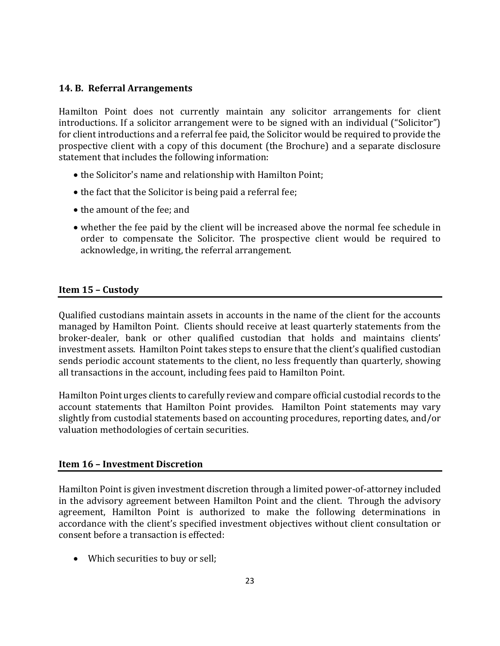#### **14. B. Referral Arrangements**

Hamilton Point does not currently maintain any solicitor arrangements for client introductions. If a solicitor arrangement were to be signed with an individual ("Solicitor") for client introductions and a referral fee paid, the Solicitor would be required to provide the prospective client with a copy of this document (the Brochure) and a separate disclosure statement that includes the following information:

- the Solicitor's name and relationship with Hamilton Point;
- the fact that the Solicitor is being paid a referral fee;
- the amount of the fee; and
- whether the fee paid by the client will be increased above the normal fee schedule in order to compensate the Solicitor. The prospective client would be required to acknowledge, in writing, the referral arrangement.

#### <span id="page-22-0"></span>**Item 15 – Custody**

Qualified custodians maintain assets in accounts in the name of the client for the accounts managed by Hamilton Point. Clients should receive at least quarterly statements from the broker-dealer, bank or other qualified custodian that holds and maintains clients' investment assets. Hamilton Point takes steps to ensure that the client's qualified custodian sends periodic account statements to the client, no less frequently than quarterly, showing all transactions in the account, including fees paid to Hamilton Point.

Hamilton Point urges clients to carefully review and compare official custodial records to the account statements that Hamilton Point provides. Hamilton Point statements may vary slightly from custodial statements based on accounting procedures, reporting dates, and/or valuation methodologies of certain securities.

#### <span id="page-22-1"></span>**Item 16 – Investment Discretion**

Hamilton Point is given investment discretion through a limited power-of-attorney included in the advisory agreement between Hamilton Point and the client. Through the advisory agreement, Hamilton Point is authorized to make the following determinations in accordance with the client's specified investment objectives without client consultation or consent before a transaction is effected:

• Which securities to buy or sell;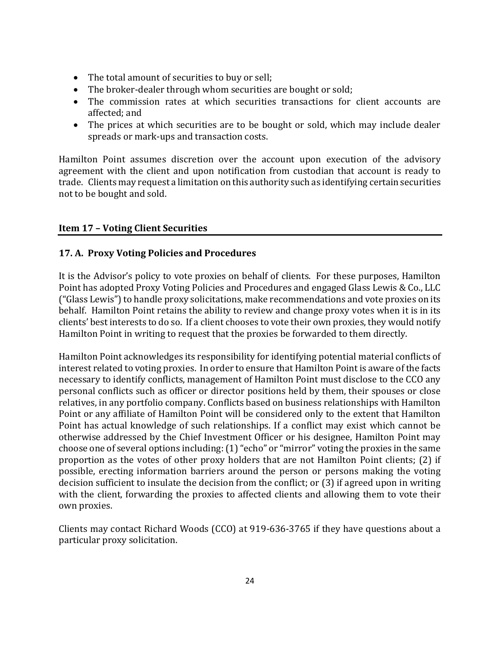- The total amount of securities to buy or sell;
- The broker-dealer through whom securities are bought or sold;
- The commission rates at which securities transactions for client accounts are affected; and
- The prices at which securities are to be bought or sold, which may include dealer spreads or mark-ups and transaction costs.

Hamilton Point assumes discretion over the account upon execution of the advisory agreement with the client and upon notification from custodian that account is ready to trade. Clients may request a limitation on this authority such as identifying certain securities not to be bought and sold.

#### <span id="page-23-0"></span>**Item 17 – Voting Client Securities**

#### **17. A. Proxy Voting Policies and Procedures**

It is the Advisor's policy to vote proxies on behalf of clients. For these purposes, Hamilton Point has adopted Proxy Voting Policies and Procedures and engaged Glass Lewis & Co., LLC ("Glass Lewis") to handle proxy solicitations, make recommendations and vote proxies on its behalf. Hamilton Point retains the ability to review and change proxy votes when it is in its clients' best interests to do so. If a client chooses to vote their own proxies, they would notify Hamilton Point in writing to request that the proxies be forwarded to them directly.

Hamilton Point acknowledges its responsibility for identifying potential material conflicts of interest related to voting proxies. In order to ensure that Hamilton Point is aware of the facts necessary to identify conflicts, management of Hamilton Point must disclose to the CCO any personal conflicts such as officer or director positions held by them, their spouses or close relatives, in any portfolio company. Conflicts based on business relationships with Hamilton Point or any affiliate of Hamilton Point will be considered only to the extent that Hamilton Point has actual knowledge of such relationships. If a conflict may exist which cannot be otherwise addressed by the Chief Investment Officer or his designee, Hamilton Point may choose one of several options including: (1) "echo" or "mirror" voting the proxies in the same proportion as the votes of other proxy holders that are not Hamilton Point clients; (2) if possible, erecting information barriers around the person or persons making the voting decision sufficient to insulate the decision from the conflict; or (3) if agreed upon in writing with the client, forwarding the proxies to affected clients and allowing them to vote their own proxies.

Clients may contact Richard Woods (CCO) at 919-636-3765 if they have questions about a particular proxy solicitation.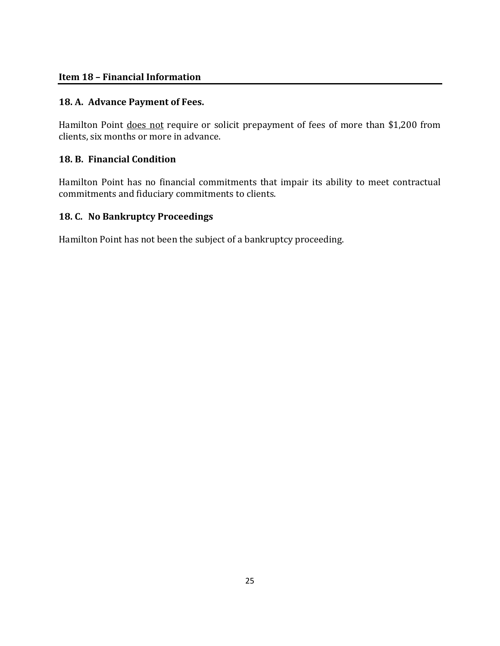#### <span id="page-24-0"></span>**Item 18 – Financial Information**

#### **18. A. Advance Payment of Fees.**

Hamilton Point does not require or solicit prepayment of fees of more than \$1,200 from clients, six months or more in advance.

#### **18. B. Financial Condition**

Hamilton Point has no financial commitments that impair its ability to meet contractual commitments and fiduciary commitments to clients.

#### **18. C. No Bankruptcy Proceedings**

Hamilton Point has not been the subject of a bankruptcy proceeding.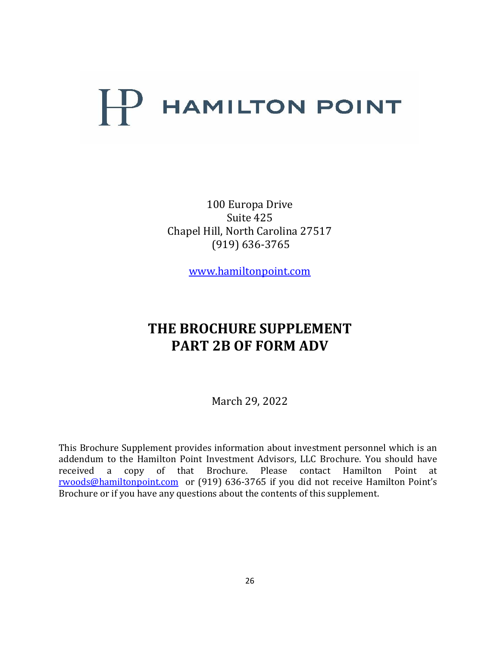# $\mathbb{P}$ **HAMILTON POINT**

100 Europa Drive Suite 425 Chapel Hill, North Carolina 27517 (919) 636-3765

[www.hamiltonpoint.com](http://www.hamiltonpoint.com/)

### **THE BROCHURE SUPPLEMENT PART 2B OF FORM ADV**

March 29, 2022

This Brochure Supplement provides information about investment personnel which is an addendum to the Hamilton Point Investment Advisors, LLC Brochure. You should have received a copy of that Brochure. Please contact Hamilton Point at [rwoods@hamiltonpoint.com](mailto:rwoods@hamiltonpoint.com) or (919) 636-3765 if you did not receive Hamilton Point's Brochure or if you have any questions about the contents of this supplement.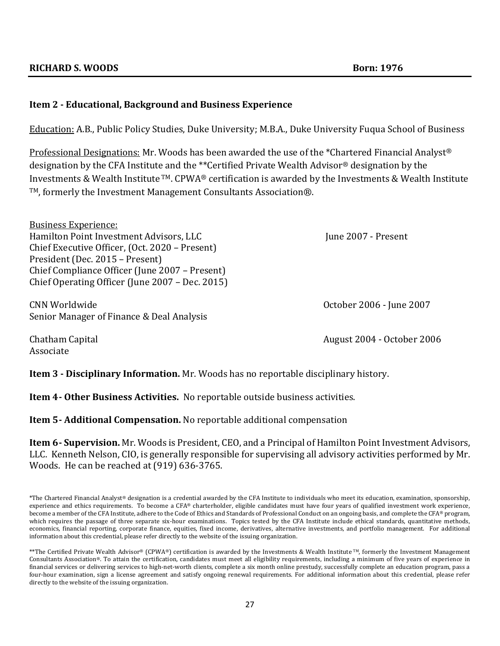#### **RICHARD S. WOODS Born: 1976**

#### **Item 2 - Educational, Background and Business Experience**

Education: A.B., Public Policy Studies, Duke University; M.B.A., Duke University Fuqua School of Business

Professional Designations: Mr. Woods has been awarded the use of the \*Chartered Financial Analyst® designation by the CFA Institute and the \*\*Certified Private Wealth Advisor® designation by the Investments & Wealth Institute  $TM$ . CPWA® certification is awarded by the Investments & Wealth Institute TM, formerly the Investment Management Consultants Association®.

Business Experience: Hamilton Point Investment Advisors, LLC June 2007 - Present Chief Executive Officer, (Oct. 2020 – Present) President (Dec. 2015 – Present) Chief Compliance Officer (June 2007 – Present) Chief Operating Officer (June 2007 – Dec. 2015)

CNN Worldwide October 2006 - June 2007 Senior Manager of Finance & Deal Analysis

Chatham Capital **August 2004 - October 2006** Associate

**Item 3 - Disciplinary Information.** Mr. Woods has no reportable disciplinary history.

**Item 4- Other Business Activities.** No reportable outside business activities.

**Item 5- Additional Compensation.** No reportable additional compensation

**Item 6- Supervision.** Mr. Woods is President, CEO, and a Principal of Hamilton Point Investment Advisors, LLC. Kenneth Nelson, CIO, is generally responsible for supervising all advisory activities performed by Mr. Woods. He can be reached at (919) 636-3765.

<sup>\*</sup>The Chartered Financial Analyst® designation is a credential awarded by the CFA Institute to individuals who meet its education, examination, sponsorship, experience and ethics requirements. To become a CFA® charterholder, eligible candidates must have four years of qualified investment work experience, become a member of the CFA Institute, adhere to the Code of Ethics and Standards of Professional Conduct on an ongoing basis, and complete the CFA® program, which requires the passage of three separate six-hour examinations. Topics tested by the CFA Institute include ethical standards, quantitative methods, economics, financial reporting, corporate finance, equities, fixed income, derivatives, alternative investments, and portfolio management. For additional information about this credential, please refer directly to the website of the issuing organization.

<sup>\*\*</sup>The Certified Private Wealth Advisor® (CPWA®) certification is awarded by the Investments & Wealth Institute TM, formerly the Investment Management Consultants Association®. To attain the certification, candidates must meet all eligibility requirements, including a minimum of five years of experience in financial services or delivering services to high-net-worth clients, complete a six month online prestudy, successfully complete an education program, pass a four-hour examination, sign a license agreement and satisfy ongoing renewal requirements. For additional information about this credential, please refer directly to the website of the issuing organization.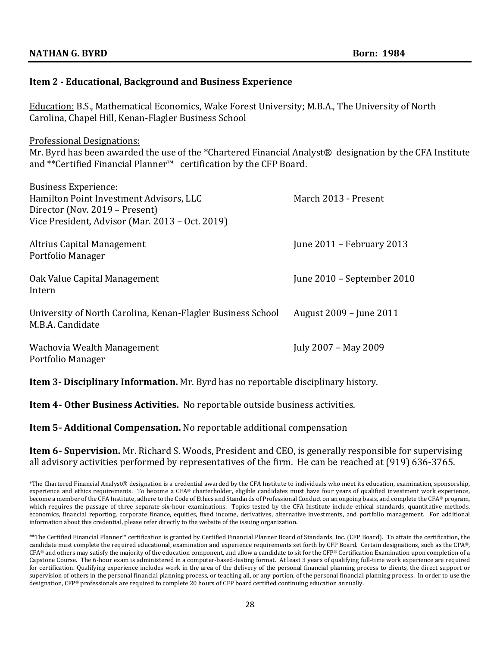Education: B.S., Mathematical Economics, Wake Forest University; M.B.A., The University of North Carolina, Chapel Hill, Kenan-Flagler Business School

Professional Designations:

Mr. Byrd has been awarded the use of the \*Chartered Financial Analyst® designation by the CFA Institute and \*\*Certified Financial Planner™ certification by the CFP Board.

| <b>Business Experience:</b>                                 |                            |
|-------------------------------------------------------------|----------------------------|
| Hamilton Point Investment Advisors, LLC                     | March 2013 - Present       |
| Director (Nov. 2019 – Present)                              |                            |
| Vice President, Advisor (Mar. 2013 – Oct. 2019)             |                            |
| Altrius Capital Management                                  | June 2011 - February 2013  |
| Portfolio Manager                                           |                            |
| Oak Value Capital Management                                | June 2010 – September 2010 |
| Intern                                                      |                            |
| University of North Carolina, Kenan-Flagler Business School | August 2009 – June 2011    |
| M.B.A. Candidate                                            |                            |
| Wachovia Wealth Management                                  | July 2007 - May 2009       |
| Portfolio Manager                                           |                            |

**Item 3- Disciplinary Information.** Mr. Byrd has no reportable disciplinary history.

**Item 4- Other Business Activities.** No reportable outside business activities.

**Item 5- Additional Compensation.** No reportable additional compensation

#### **Item 6- Supervision.** Mr. Richard S. Woods, President and CEO, is generally responsible for supervising all advisory activities performed by representatives of the firm. He can be reached at (919) 636-3765.

\*The Chartered Financial Analyst® designation is a credential awarded by the CFA Institute to individuals who meet its education, examination, sponsorship, experience and ethics requirements. To become a CFA® charterholder, eligible candidates must have four years of qualified investment work experience, become a member of the CFA Institute, adhere to the Code of Ethics and Standards of Professional Conduct on an ongoing basis, and complete the CFA® program, which requires the passage of three separate six-hour examinations. Topics tested by the CFA Institute include ethical standards, quantitative methods, economics, financial reporting, corporate finance, equities, fixed income, derivatives, alternative investments, and portfolio management. For additional information about this credential, please refer directly to the website of the issuing organization.

\*\*The Certified Financial Planner™ certification is granted by Certified Financial Planner Board of Standards, Inc. (CFP Board). To attain the certification, the candidate must complete the required educational, examination and experience requirements set forth by CFP Board. Certain designations, such as the CPA®, CFA® and others may satisfy the majority of the education component, and allow a candidate to sit for the CFP® Certification Examination upon completion of a Capstone Course. The 6-hour exam is administered in a computer-based-testing format. At least 3 years of qualifying full-time work experience are required for certification. Qualifying experience includes work in the area of the delivery of the personal financial planning process to clients, the direct support or supervision of others in the personal financial planning process, or teaching all, or any portion, of the personal financial planning process. In order to use the designation, CFP® professionals are required to complete 20 hours of CFP board certified continuing education annually.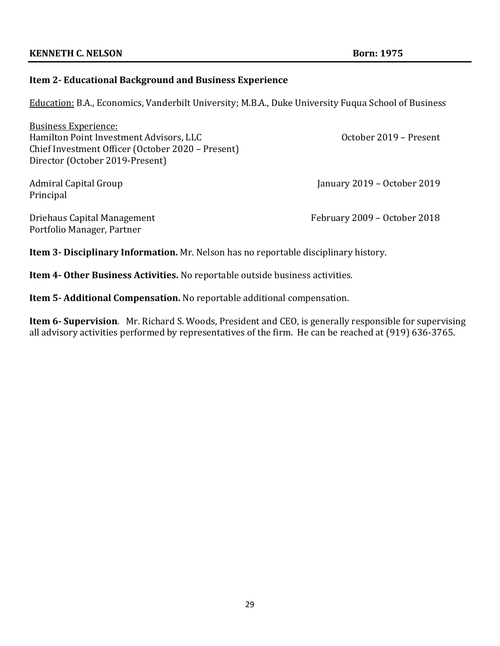Education: B.A., Economics, Vanderbilt University; M.B.A., Duke University Fuqua School of Business

Business Experience: Hamilton Point Investment Advisors, LLC October 2019 – Present Chief Investment Officer (October 2020 – Present) Director (October 2019-Present)

Principal

Portfolio Manager, Partner

Admiral Capital Group January 2019 – October 2019

Driehaus Capital Management February 2009 – October 2018

**Item 3- Disciplinary Information.** Mr. Nelson has no reportable disciplinary history.

**Item 4- Other Business Activities.** No reportable outside business activities.

**Item 5- Additional Compensation.** No reportable additional compensation.

**Item 6- Supervision**. Mr. Richard S. Woods, President and CEO, is generally responsible for supervising all advisory activities performed by representatives of the firm. He can be reached at (919) 636-3765.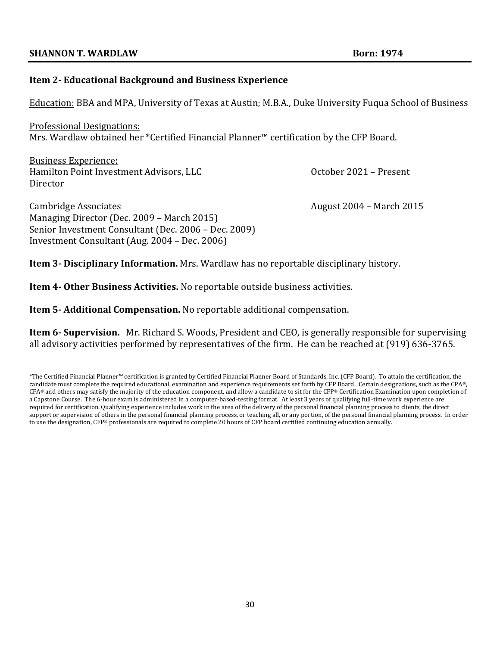#### **SHANNON T. WARDLAW BOTH: 1974**

#### **Item 2- Educational Background and Business Experience**

Education: BBA and MPA, University of Texas at Austin; M.B.A., Duke University Fuqua School of Business

Professional Designations: Mrs. Wardlaw obtained her \*Certified Financial Planner™ certification by the CFP Board.

Business Experience: Hamilton Point Investment Advisors, LLC October 2021 – Present Director

Managing Director (Dec. 2009 – March 2015)

Investment Consultant (Aug. 2004 – Dec. 2006)

Senior Investment Consultant (Dec. 2006 – Dec. 2009)

Cambridge Associates **August 2004** – March 2015

**Item 3- Disciplinary Information.** Mrs. Wardlaw has no reportable disciplinary history.

**Item 4- Other Business Activities.** No reportable outside business activities.

**Item 5- Additional Compensation.** No reportable additional compensation.

**Item 6- Supervision.** Mr. Richard S. Woods, President and CEO, is generally responsible for supervising all advisory activities performed by representatives of the firm. He can be reached at (919) 636-3765.

<sup>\*</sup>The Certified Financial Planner™ certification is granted by Certified Financial Planner Board of Standards, Inc. (CFP Board). To attain the certification, the candidate must complete the required educational, examination and experience requirements set forth by CFP Board. Certain designations, such as the CPA®,  $CFA<sup>®</sup>$  and others may satisfy the majority of the education component, and allow a candidate to sit for the CFP® Certification Examination upon completion of a Capstone Course. The 6-hour exam is administered in a computer-based-testing format. At least 3 years of qualifying full-time work experience are required for certification. Qualifying experience includes work in the area of the delivery of the personal financial planning process to clients, the direct support or supervision of others in the personal financial planning process, or teaching all, or any portion, of the personal financial planning process. In order to use the designation, CFP® professionals are required to complete 20 hours of CFP board certified continuing education annually.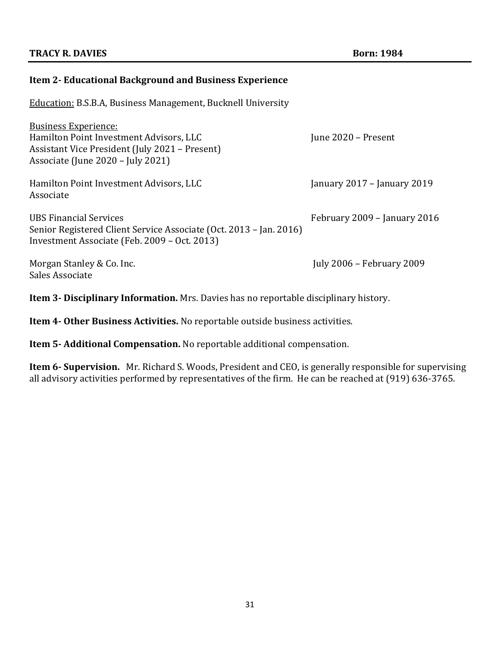Education: B.S.B.A, Business Management, Bucknell University

| <b>Business Experience:</b><br>Hamilton Point Investment Advisors, LLC<br>Assistant Vice President (July 2021 – Present)<br>Associate (June 2020 – July 2021) | June 2020 – Present          |
|---------------------------------------------------------------------------------------------------------------------------------------------------------------|------------------------------|
| Hamilton Point Investment Advisors, LLC<br>Associate                                                                                                          | January 2017 – January 2019  |
| UBS Financial Services<br>Senior Registered Client Service Associate (Oct. 2013 – Jan. 2016)<br>Investment Associate (Feb. 2009 – Oct. 2013)                  | February 2009 - January 2016 |
| Morgan Stanley & Co. Inc.<br>Sales Associate                                                                                                                  | July 2006 – February 2009    |

**Item 3- Disciplinary Information.** Mrs. Davies has no reportable disciplinary history.

**Item 4- Other Business Activities.** No reportable outside business activities.

**Item 5- Additional Compensation.** No reportable additional compensation.

**Item 6- Supervision.** Mr. Richard S. Woods, President and CEO, is generally responsible for supervising all advisory activities performed by representatives of the firm. He can be reached at (919) 636-3765.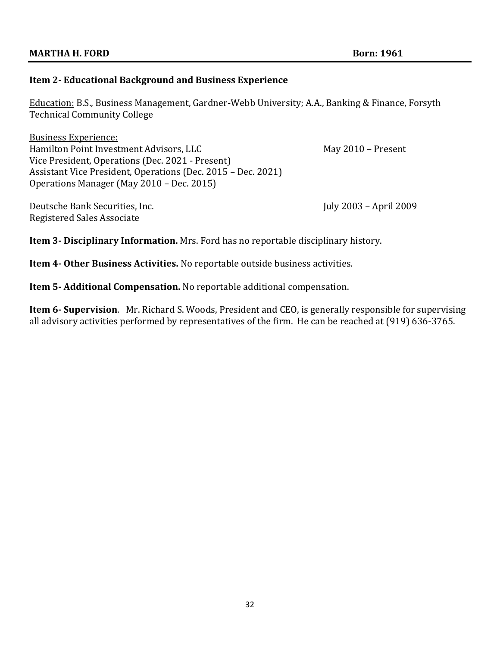Education: B.S., Business Management, Gardner-Webb University; A.A., Banking & Finance, Forsyth Technical Community College

Business Experience: Hamilton Point Investment Advisors, LLC May 2010 – Present Vice President, Operations (Dec. 2021 - Present) Assistant Vice President, Operations (Dec. 2015 – Dec. 2021) Operations Manager (May 2010 – Dec. 2015)

Deutsche Bank Securities, Inc. July 2003 – April 2009 Registered Sales Associate

**Item 3- Disciplinary Information.** Mrs. Ford has no reportable disciplinary history.

**Item 4- Other Business Activities.** No reportable outside business activities.

**Item 5- Additional Compensation.** No reportable additional compensation.

**Item 6- Supervision**. Mr. Richard S. Woods, President and CEO, is generally responsible for supervising all advisory activities performed by representatives of the firm. He can be reached at (919) 636-3765.